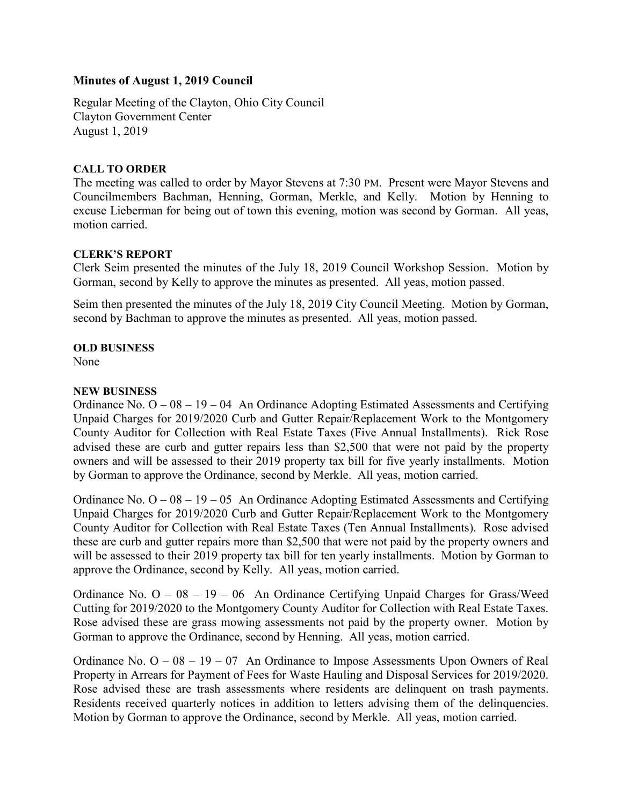# Minutes of August 1, 2019 Council

Regular Meeting of the Clayton, Ohio City Council Clayton Government Center August 1, 2019

#### CALL TO ORDER

The meeting was called to order by Mayor Stevens at 7:30 PM. Present were Mayor Stevens and Councilmembers Bachman, Henning, Gorman, Merkle, and Kelly. Motion by Henning to excuse Lieberman for being out of town this evening, motion was second by Gorman. All yeas, motion carried.

## CLERK'S REPORT

Clerk Seim presented the minutes of the July 18, 2019 Council Workshop Session. Motion by Gorman, second by Kelly to approve the minutes as presented. All yeas, motion passed.

Seim then presented the minutes of the July 18, 2019 City Council Meeting. Motion by Gorman, second by Bachman to approve the minutes as presented. All yeas, motion passed.

## OLD BUSINESS

None

## NEW BUSINESS

Ordinance No.  $O - 08 - 19 - 04$  An Ordinance Adopting Estimated Assessments and Certifying Unpaid Charges for 2019/2020 Curb and Gutter Repair/Replacement Work to the Montgomery County Auditor for Collection with Real Estate Taxes (Five Annual Installments). Rick Rose advised these are curb and gutter repairs less than \$2,500 that were not paid by the property owners and will be assessed to their 2019 property tax bill for five yearly installments. Motion by Gorman to approve the Ordinance, second by Merkle. All yeas, motion carried.

Ordinance No.  $O - 08 - 19 - 05$  An Ordinance Adopting Estimated Assessments and Certifying Unpaid Charges for 2019/2020 Curb and Gutter Repair/Replacement Work to the Montgomery County Auditor for Collection with Real Estate Taxes (Ten Annual Installments). Rose advised these are curb and gutter repairs more than \$2,500 that were not paid by the property owners and will be assessed to their 2019 property tax bill for ten yearly installments. Motion by Gorman to approve the Ordinance, second by Kelly. All yeas, motion carried.

Ordinance No. O – 08 – 19 – 06 An Ordinance Certifying Unpaid Charges for Grass/Weed Cutting for 2019/2020 to the Montgomery County Auditor for Collection with Real Estate Taxes. Rose advised these are grass mowing assessments not paid by the property owner. Motion by Gorman to approve the Ordinance, second by Henning. All yeas, motion carried.

Ordinance No.  $O - 08 - 19 - 07$  An Ordinance to Impose Assessments Upon Owners of Real Property in Arrears for Payment of Fees for Waste Hauling and Disposal Services for 2019/2020. Rose advised these are trash assessments where residents are delinquent on trash payments. Residents received quarterly notices in addition to letters advising them of the delinquencies. Motion by Gorman to approve the Ordinance, second by Merkle. All yeas, motion carried.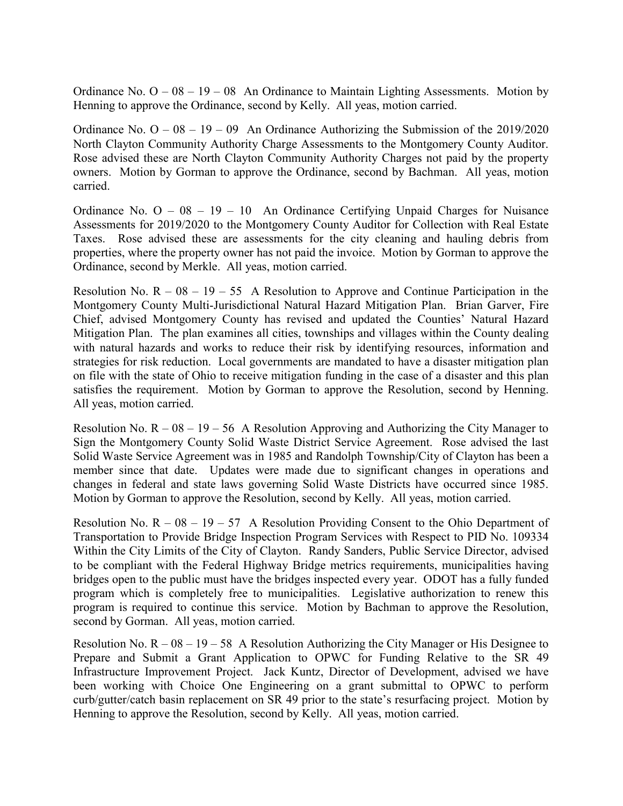Ordinance No.  $O - 08 - 19 - 08$  An Ordinance to Maintain Lighting Assessments. Motion by Henning to approve the Ordinance, second by Kelly. All yeas, motion carried.

Ordinance No.  $O - 08 - 19 - 09$  An Ordinance Authorizing the Submission of the 2019/2020 North Clayton Community Authority Charge Assessments to the Montgomery County Auditor. Rose advised these are North Clayton Community Authority Charges not paid by the property owners. Motion by Gorman to approve the Ordinance, second by Bachman. All yeas, motion carried.

Ordinance No.  $O - 08 - 19 - 10$  An Ordinance Certifying Unpaid Charges for Nuisance Assessments for 2019/2020 to the Montgomery County Auditor for Collection with Real Estate Taxes. Rose advised these are assessments for the city cleaning and hauling debris from properties, where the property owner has not paid the invoice. Motion by Gorman to approve the Ordinance, second by Merkle. All yeas, motion carried.

Resolution No.  $R - 08 - 19 - 55$  A Resolution to Approve and Continue Participation in the Montgomery County Multi-Jurisdictional Natural Hazard Mitigation Plan. Brian Garver, Fire Chief, advised Montgomery County has revised and updated the Counties' Natural Hazard Mitigation Plan. The plan examines all cities, townships and villages within the County dealing with natural hazards and works to reduce their risk by identifying resources, information and strategies for risk reduction. Local governments are mandated to have a disaster mitigation plan on file with the state of Ohio to receive mitigation funding in the case of a disaster and this plan satisfies the requirement. Motion by Gorman to approve the Resolution, second by Henning. All yeas, motion carried.

Resolution No.  $R - 08 - 19 - 56$  A Resolution Approving and Authorizing the City Manager to Sign the Montgomery County Solid Waste District Service Agreement. Rose advised the last Solid Waste Service Agreement was in 1985 and Randolph Township/City of Clayton has been a member since that date. Updates were made due to significant changes in operations and changes in federal and state laws governing Solid Waste Districts have occurred since 1985. Motion by Gorman to approve the Resolution, second by Kelly. All yeas, motion carried.

Resolution No.  $R - 08 - 19 - 57$  A Resolution Providing Consent to the Ohio Department of Transportation to Provide Bridge Inspection Program Services with Respect to PID No. 109334 Within the City Limits of the City of Clayton. Randy Sanders, Public Service Director, advised to be compliant with the Federal Highway Bridge metrics requirements, municipalities having bridges open to the public must have the bridges inspected every year. ODOT has a fully funded program which is completely free to municipalities. Legislative authorization to renew this program is required to continue this service. Motion by Bachman to approve the Resolution, second by Gorman. All yeas, motion carried.

Resolution No.  $R - 08 - 19 - 58$  A Resolution Authorizing the City Manager or His Designee to Prepare and Submit a Grant Application to OPWC for Funding Relative to the SR 49 Infrastructure Improvement Project. Jack Kuntz, Director of Development, advised we have been working with Choice One Engineering on a grant submittal to OPWC to perform curb/gutter/catch basin replacement on SR 49 prior to the state's resurfacing project. Motion by Henning to approve the Resolution, second by Kelly. All yeas, motion carried.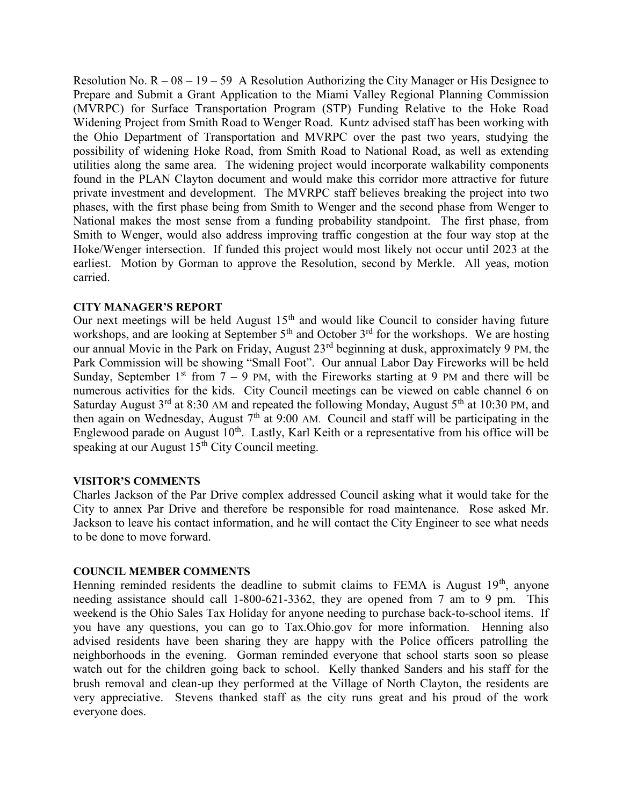Resolution No.  $R - 08 - 19 - 59$  A Resolution Authorizing the City Manager or His Designee to Prepare and Submit a Grant Application to the Miami Valley Regional Planning Commission (MVRPC) for Surface Transportation Program (STP) Funding Relative to the Hoke Road Widening Project from Smith Road to Wenger Road. Kuntz advised staff has been working with the Ohio Department of Transportation and MVRPC over the past two years, studying the possibility of widening Hoke Road, from Smith Road to National Road, as well as extending utilities along the same area. The widening project would incorporate walkability components found in the PLAN Clayton document and would make this corridor more attractive for future private investment and development. The MVRPC staff believes breaking the project into two phases, with the first phase being from Smith to Wenger and the second phase from Wenger to National makes the most sense from a funding probability standpoint. The first phase, from Smith to Wenger, would also address improving traffic congestion at the four way stop at the Hoke/Wenger intersection. If funded this project would most likely not occur until 2023 at the earliest. Motion by Gorman to approve the Resolution, second by Merkle. All yeas, motion carried.

#### CITY MANAGER'S REPORT

Our next meetings will be held August  $15<sup>th</sup>$  and would like Council to consider having future workshops, and are looking at September  $5<sup>th</sup>$  and October  $3<sup>rd</sup>$  for the workshops. We are hosting our annual Movie in the Park on Friday, August 23rd beginning at dusk, approximately 9 PM, the Park Commission will be showing "Small Foot". Our annual Labor Day Fireworks will be held Sunday, September 1<sup>st</sup> from  $7 - 9$  PM, with the Fireworks starting at 9 PM and there will be numerous activities for the kids. City Council meetings can be viewed on cable channel 6 on Saturday August  $3^{rd}$  at 8:30 AM and repeated the following Monday, August  $5^{th}$  at 10:30 PM, and then again on Wednesday, August  $7<sup>th</sup>$  at 9:00 AM. Council and staff will be participating in the Englewood parade on August  $10^{th}$ . Lastly, Karl Keith or a representative from his office will be speaking at our August  $15^{th}$  City Council meeting.

#### VISITOR'S COMMENTS

Charles Jackson of the Par Drive complex addressed Council asking what it would take for the City to annex Par Drive and therefore be responsible for road maintenance. Rose asked Mr. Jackson to leave his contact information, and he will contact the City Engineer to see what needs to be done to move forward.

#### COUNCIL MEMBER COMMENTS

Henning reminded residents the deadline to submit claims to FEMA is August  $19<sup>th</sup>$ , anyone needing assistance should call 1-800-621-3362, they are opened from 7 am to 9 pm. This weekend is the Ohio Sales Tax Holiday for anyone needing to purchase back-to-school items. If you have any questions, you can go to Tax.Ohio.gov for more information. Henning also advised residents have been sharing they are happy with the Police officers patrolling the neighborhoods in the evening. Gorman reminded everyone that school starts soon so please watch out for the children going back to school. Kelly thanked Sanders and his staff for the brush removal and clean-up they performed at the Village of North Clayton, the residents are very appreciative. Stevens thanked staff as the city runs great and his proud of the work everyone does.